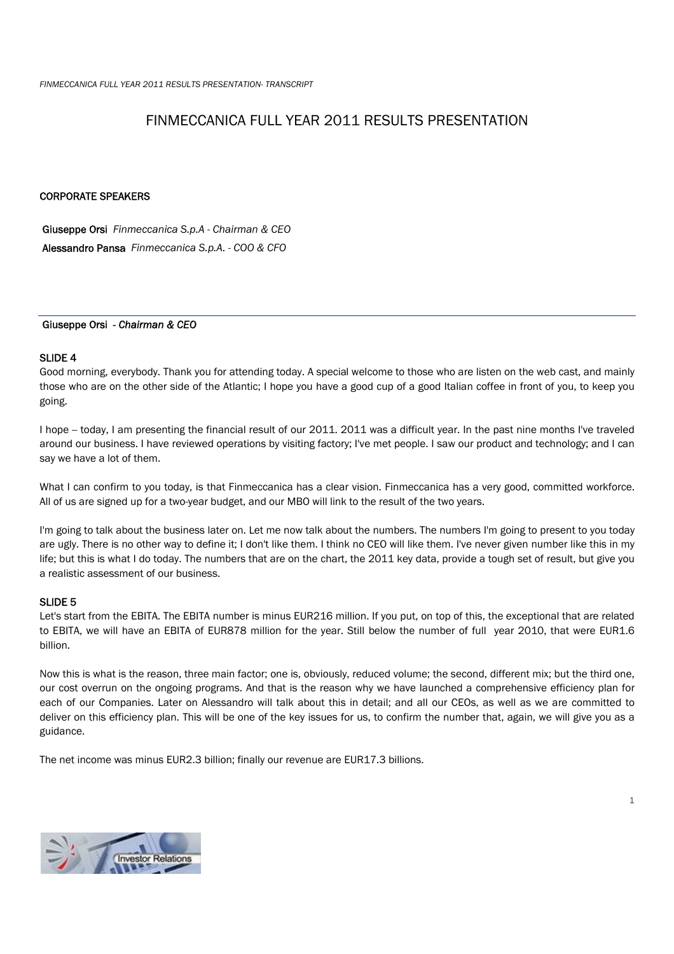# FINMECCANICA FULL YEAR 2011 RESULTS PRESENTATION

# CORPORATE SPEAKERS

 Giuseppe Orsi *Finmeccanica S.p.A - Chairman & CEO*  Alessandro Pansa *Finmeccanica S.p.A. - COO & CFO* 

## Giuseppe Orsi *- Chairman & CEO*

## SLIDE 4

Good morning, everybody. Thank you for attending today. A special welcome to those who are listen on the web cast, and mainly those who are on the other side of the Atlantic; I hope you have a good cup of a good Italian coffee in front of you, to keep you going.

I hope -- today, I am presenting the financial result of our 2011. 2011 was a difficult year. In the past nine months I've traveled around our business. I have reviewed operations by visiting factory; I've met people. I saw our product and technology; and I can say we have a lot of them.

What I can confirm to you today, is that Finmeccanica has a clear vision. Finmeccanica has a very good, committed workforce. All of us are signed up for a two-year budget, and our MBO will link to the result of the two years.

I'm going to talk about the business later on. Let me now talk about the numbers. The numbers I'm going to present to you today are ugly. There is no other way to define it; I don't like them. I think no CEO will like them. I've never given number like this in my life; but this is what I do today. The numbers that are on the chart, the 2011 key data, provide a tough set of result, but give you a realistic assessment of our business.

# SLIDE 5

Let's start from the EBITA. The EBITA number is minus EUR216 million. If you put, on top of this, the exceptional that are related to EBITA, we will have an EBITA of EUR878 million for the year. Still below the number of full year 2010, that were EUR1.6 billion.

Now this is what is the reason, three main factor; one is, obviously, reduced volume; the second, different mix; but the third one, our cost overrun on the ongoing programs. And that is the reason why we have launched a comprehensive efficiency plan for each of our Companies. Later on Alessandro will talk about this in detail; and all our CEOs, as well as we are committed to deliver on this efficiency plan. This will be one of the key issues for us, to confirm the number that, again, we will give you as a guidance.

1

The net income was minus EUR2.3 billion; finally our revenue are EUR17.3 billions.

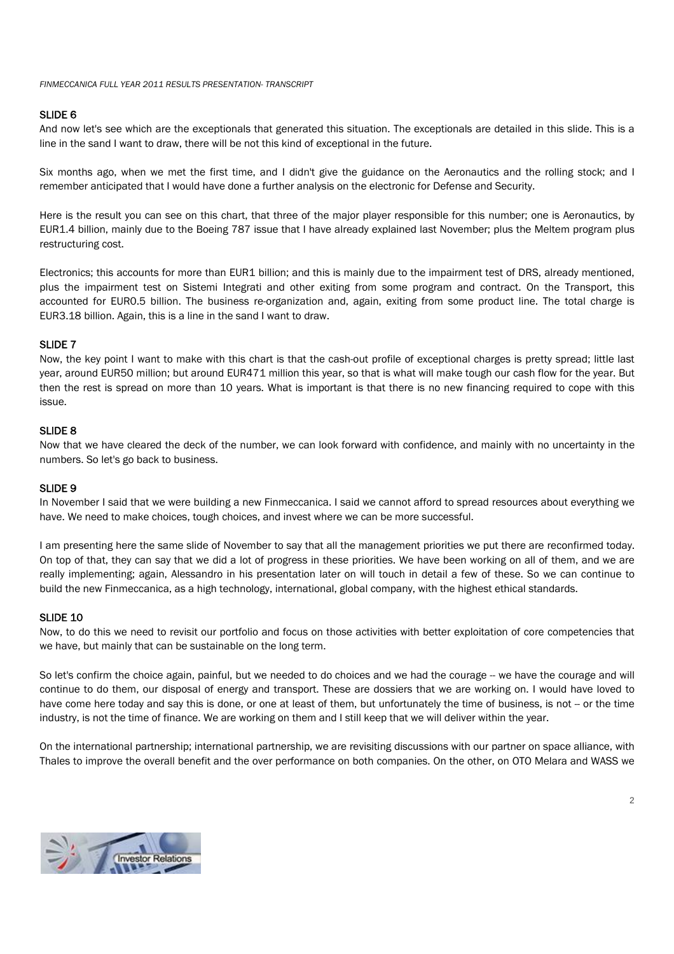# SLIDE 6

And now let's see which are the exceptionals that generated this situation. The exceptionals are detailed in this slide. This is a line in the sand I want to draw, there will be not this kind of exceptional in the future.

Six months ago, when we met the first time, and I didn't give the guidance on the Aeronautics and the rolling stock; and I remember anticipated that I would have done a further analysis on the electronic for Defense and Security.

Here is the result you can see on this chart, that three of the major player responsible for this number; one is Aeronautics, by EUR1.4 billion, mainly due to the Boeing 787 issue that I have already explained last November; plus the Meltem program plus restructuring cost.

Electronics; this accounts for more than EUR1 billion; and this is mainly due to the impairment test of DRS, already mentioned, plus the impairment test on Sistemi Integrati and other exiting from some program and contract. On the Transport, this accounted for EUR0.5 billion. The business re-organization and, again, exiting from some product line. The total charge is EUR3.18 billion. Again, this is a line in the sand I want to draw.

# SLIDE<sub>7</sub>

Now, the key point I want to make with this chart is that the cash-out profile of exceptional charges is pretty spread; little last year, around EUR50 million; but around EUR471 million this year, so that is what will make tough our cash flow for the year. But then the rest is spread on more than 10 years. What is important is that there is no new financing required to cope with this issue.

# SLIDE 8

Now that we have cleared the deck of the number, we can look forward with confidence, and mainly with no uncertainty in the numbers. So let's go back to business.

## SLIDE 9

In November I said that we were building a new Finmeccanica. I said we cannot afford to spread resources about everything we have. We need to make choices, tough choices, and invest where we can be more successful.

I am presenting here the same slide of November to say that all the management priorities we put there are reconfirmed today. On top of that, they can say that we did a lot of progress in these priorities. We have been working on all of them, and we are really implementing; again, Alessandro in his presentation later on will touch in detail a few of these. So we can continue to build the new Finmeccanica, as a high technology, international, global company, with the highest ethical standards.

## SLIDE 10

Now, to do this we need to revisit our portfolio and focus on those activities with better exploitation of core competencies that we have, but mainly that can be sustainable on the long term.

So let's confirm the choice again, painful, but we needed to do choices and we had the courage -- we have the courage and will continue to do them, our disposal of energy and transport. These are dossiers that we are working on. I would have loved to have come here today and say this is done, or one at least of them, but unfortunately the time of business, is not -- or the time industry, is not the time of finance. We are working on them and I still keep that we will deliver within the year.

On the international partnership; international partnership, we are revisiting discussions with our partner on space alliance, with Thales to improve the overall benefit and the over performance on both companies. On the other, on OTO Melara and WASS we

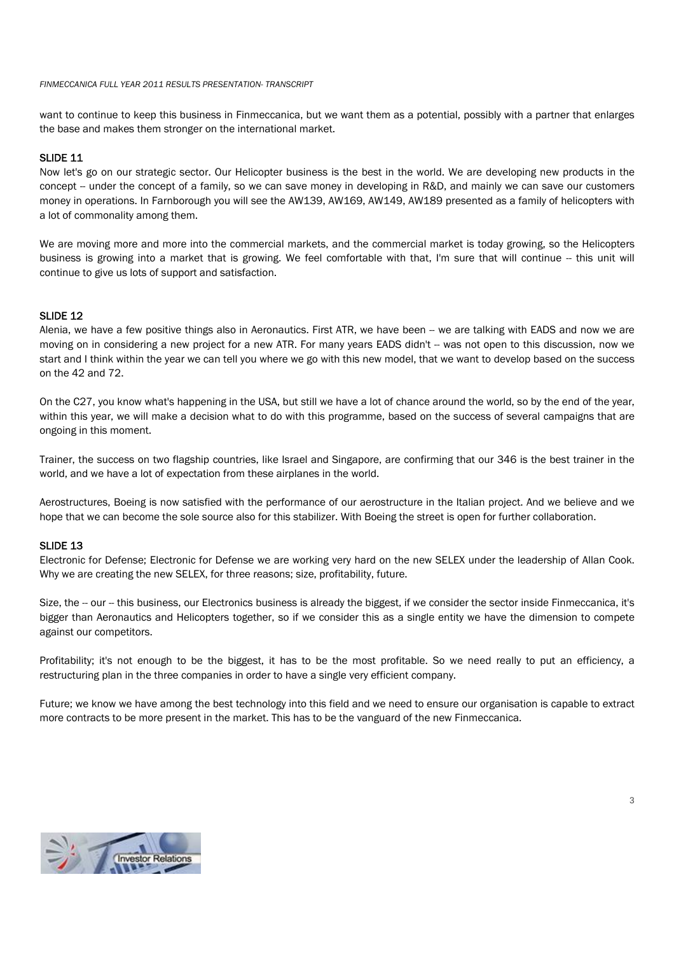want to continue to keep this business in Finmeccanica, but we want them as a potential, possibly with a partner that enlarges the base and makes them stronger on the international market.

## SLIDE 11

Now let's go on our strategic sector. Our Helicopter business is the best in the world. We are developing new products in the concept -- under the concept of a family, so we can save money in developing in R&D, and mainly we can save our customers money in operations. In Farnborough you will see the AW139, AW169, AW149, AW189 presented as a family of helicopters with a lot of commonality among them.

We are moving more and more into the commercial markets, and the commercial market is today growing, so the Helicopters business is growing into a market that is growing. We feel comfortable with that, I'm sure that will continue -- this unit will continue to give us lots of support and satisfaction.

#### SLIDE 12

Alenia, we have a few positive things also in Aeronautics. First ATR, we have been -- we are talking with EADS and now we are moving on in considering a new project for a new ATR. For many years EADS didn't -- was not open to this discussion, now we start and I think within the year we can tell you where we go with this new model, that we want to develop based on the success on the 42 and 72.

On the C27, you know what's happening in the USA, but still we have a lot of chance around the world, so by the end of the year, within this year, we will make a decision what to do with this programme, based on the success of several campaigns that are ongoing in this moment.

Trainer, the success on two flagship countries, like Israel and Singapore, are confirming that our 346 is the best trainer in the world, and we have a lot of expectation from these airplanes in the world.

Aerostructures, Boeing is now satisfied with the performance of our aerostructure in the Italian project. And we believe and we hope that we can become the sole source also for this stabilizer. With Boeing the street is open for further collaboration.

# SLIDE 13

Electronic for Defense; Electronic for Defense we are working very hard on the new SELEX under the leadership of Allan Cook. Why we are creating the new SELEX, for three reasons; size, profitability, future.

Size, the -- our -- this business, our Electronics business is already the biggest, if we consider the sector inside Finmeccanica, it's bigger than Aeronautics and Helicopters together, so if we consider this as a single entity we have the dimension to compete against our competitors.

Profitability; it's not enough to be the biggest, it has to be the most profitable. So we need really to put an efficiency, a restructuring plan in the three companies in order to have a single very efficient company.

Future; we know we have among the best technology into this field and we need to ensure our organisation is capable to extract more contracts to be more present in the market. This has to be the vanguard of the new Finmeccanica.

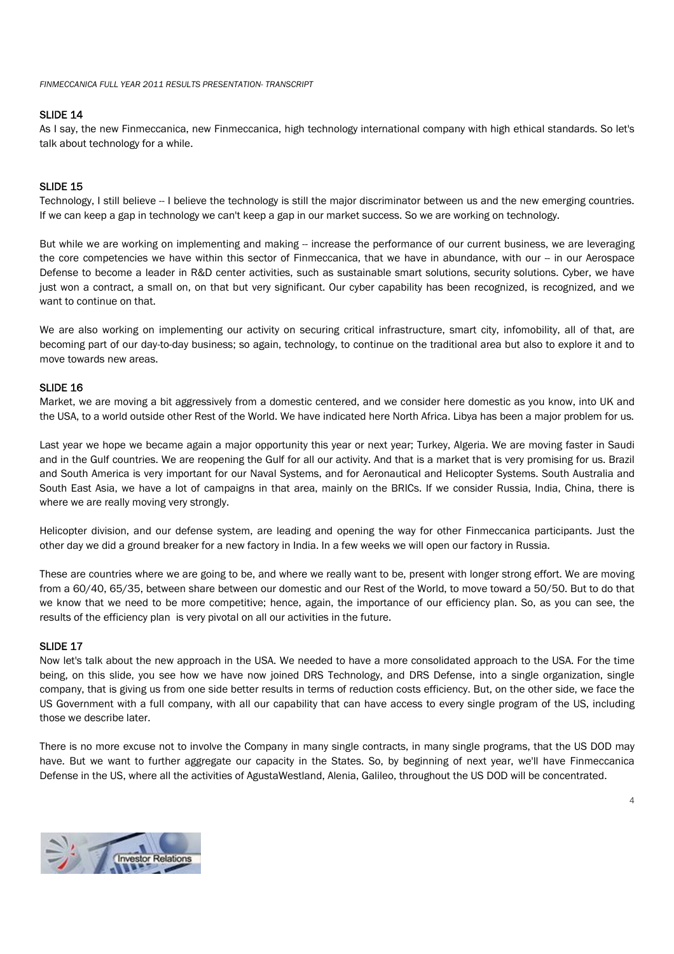# SLIDE 14

As I say, the new Finmeccanica, new Finmeccanica, high technology international company with high ethical standards. So let's talk about technology for a while.

# SLIDE 15

Technology, I still believe -- I believe the technology is still the major discriminator between us and the new emerging countries. If we can keep a gap in technology we can't keep a gap in our market success. So we are working on technology.

But while we are working on implementing and making -- increase the performance of our current business, we are leveraging the core competencies we have within this sector of Finmeccanica, that we have in abundance, with our -- in our Aerospace Defense to become a leader in R&D center activities, such as sustainable smart solutions, security solutions. Cyber, we have just won a contract, a small on, on that but very significant. Our cyber capability has been recognized, is recognized, and we want to continue on that.

We are also working on implementing our activity on securing critical infrastructure, smart city, infomobility, all of that, are becoming part of our day-to-day business; so again, technology, to continue on the traditional area but also to explore it and to move towards new areas.

#### SLIDE 16

Market, we are moving a bit aggressively from a domestic centered, and we consider here domestic as you know, into UK and the USA, to a world outside other Rest of the World. We have indicated here North Africa. Libya has been a major problem for us.

Last year we hope we became again a major opportunity this year or next year; Turkey, Algeria. We are moving faster in Saudi and in the Gulf countries. We are reopening the Gulf for all our activity. And that is a market that is very promising for us. Brazil and South America is very important for our Naval Systems, and for Aeronautical and Helicopter Systems. South Australia and South East Asia, we have a lot of campaigns in that area, mainly on the BRICs. If we consider Russia, India, China, there is where we are really moving very strongly.

Helicopter division, and our defense system, are leading and opening the way for other Finmeccanica participants. Just the other day we did a ground breaker for a new factory in India. In a few weeks we will open our factory in Russia.

These are countries where we are going to be, and where we really want to be, present with longer strong effort. We are moving from a 60/40, 65/35, between share between our domestic and our Rest of the World, to move toward a 50/50. But to do that we know that we need to be more competitive; hence, again, the importance of our efficiency plan. So, as you can see, the results of the efficiency plan is very pivotal on all our activities in the future.

#### SLIDE 17

Now let's talk about the new approach in the USA. We needed to have a more consolidated approach to the USA. For the time being, on this slide, you see how we have now joined DRS Technology, and DRS Defense, into a single organization, single company, that is giving us from one side better results in terms of reduction costs efficiency. But, on the other side, we face the US Government with a full company, with all our capability that can have access to every single program of the US, including those we describe later.

There is no more excuse not to involve the Company in many single contracts, in many single programs, that the US DOD may have. But we want to further aggregate our capacity in the States. So, by beginning of next year, we'll have Finmeccanica Defense in the US, where all the activities of AgustaWestland, Alenia, Galileo, throughout the US DOD will be concentrated.



4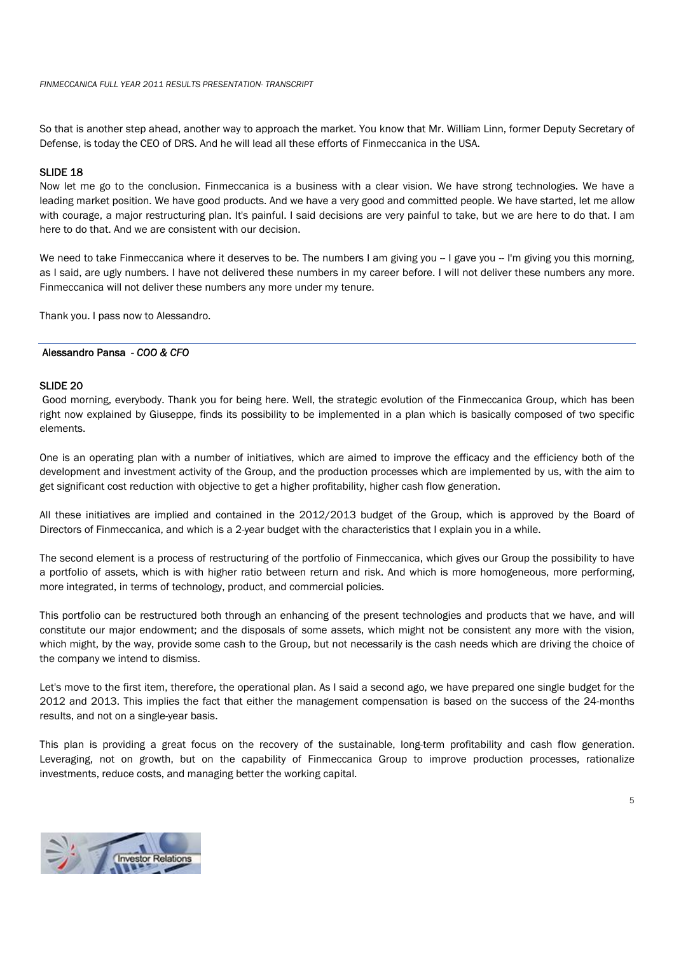So that is another step ahead, another way to approach the market. You know that Mr. William Linn, former Deputy Secretary of Defense, is today the CEO of DRS. And he will lead all these efforts of Finmeccanica in the USA.

# SLIDE 18

Now let me go to the conclusion. Finmeccanica is a business with a clear vision. We have strong technologies. We have a leading market position. We have good products. And we have a very good and committed people. We have started, let me allow with courage, a major restructuring plan. It's painful. I said decisions are very painful to take, but we are here to do that. I am here to do that. And we are consistent with our decision.

We need to take Finmeccanica where it deserves to be. The numbers I am giving you -- I gave you -- I'm giving you this morning, as I said, are ugly numbers. I have not delivered these numbers in my career before. I will not deliver these numbers any more. Finmeccanica will not deliver these numbers any more under my tenure.

Thank you. I pass now to Alessandro.

#### Alessandro Pansa *- COO & CFO*

# SLIDE 20

 Good morning, everybody. Thank you for being here. Well, the strategic evolution of the Finmeccanica Group, which has been right now explained by Giuseppe, finds its possibility to be implemented in a plan which is basically composed of two specific elements.

One is an operating plan with a number of initiatives, which are aimed to improve the efficacy and the efficiency both of the development and investment activity of the Group, and the production processes which are implemented by us, with the aim to get significant cost reduction with objective to get a higher profitability, higher cash flow generation.

All these initiatives are implied and contained in the 2012/2013 budget of the Group, which is approved by the Board of Directors of Finmeccanica, and which is a 2-year budget with the characteristics that I explain you in a while.

The second element is a process of restructuring of the portfolio of Finmeccanica, which gives our Group the possibility to have a portfolio of assets, which is with higher ratio between return and risk. And which is more homogeneous, more performing, more integrated, in terms of technology, product, and commercial policies.

This portfolio can be restructured both through an enhancing of the present technologies and products that we have, and will constitute our major endowment; and the disposals of some assets, which might not be consistent any more with the vision, which might, by the way, provide some cash to the Group, but not necessarily is the cash needs which are driving the choice of the company we intend to dismiss.

Let's move to the first item, therefore, the operational plan. As I said a second ago, we have prepared one single budget for the 2012 and 2013. This implies the fact that either the management compensation is based on the success of the 24-months results, and not on a single-year basis.

This plan is providing a great focus on the recovery of the sustainable, long-term profitability and cash flow generation. Leveraging, not on growth, but on the capability of Finmeccanica Group to improve production processes, rationalize investments, reduce costs, and managing better the working capital.

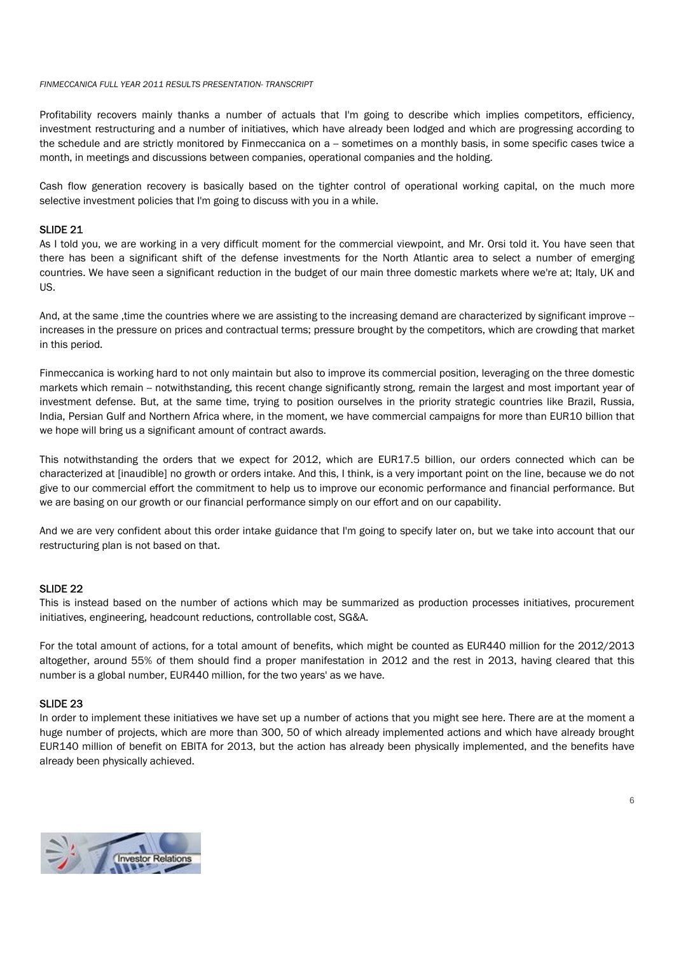Profitability recovers mainly thanks a number of actuals that I'm going to describe which implies competitors, efficiency, investment restructuring and a number of initiatives, which have already been lodged and which are progressing according to the schedule and are strictly monitored by Finmeccanica on a -- sometimes on a monthly basis, in some specific cases twice a month, in meetings and discussions between companies, operational companies and the holding.

Cash flow generation recovery is basically based on the tighter control of operational working capital, on the much more selective investment policies that I'm going to discuss with you in a while.

# SLIDE 21

As I told you, we are working in a very difficult moment for the commercial viewpoint, and Mr. Orsi told it. You have seen that there has been a significant shift of the defense investments for the North Atlantic area to select a number of emerging countries. We have seen a significant reduction in the budget of our main three domestic markets where we're at; Italy, UK and US.

And, at the same ,time the countries where we are assisting to the increasing demand are characterized by significant improve -increases in the pressure on prices and contractual terms; pressure brought by the competitors, which are crowding that market in this period.

Finmeccanica is working hard to not only maintain but also to improve its commercial position, leveraging on the three domestic markets which remain -- notwithstanding, this recent change significantly strong, remain the largest and most important year of investment defense. But, at the same time, trying to position ourselves in the priority strategic countries like Brazil, Russia, India, Persian Gulf and Northern Africa where, in the moment, we have commercial campaigns for more than EUR10 billion that we hope will bring us a significant amount of contract awards.

This notwithstanding the orders that we expect for 2012, which are EUR17.5 billion, our orders connected which can be characterized at [inaudible] no growth or orders intake. And this, I think, is a very important point on the line, because we do not give to our commercial effort the commitment to help us to improve our economic performance and financial performance. But we are basing on our growth or our financial performance simply on our effort and on our capability.

And we are very confident about this order intake guidance that I'm going to specify later on, but we take into account that our restructuring plan is not based on that.

# SLIDE 22

This is instead based on the number of actions which may be summarized as production processes initiatives, procurement initiatives, engineering, headcount reductions, controllable cost, SG&A.

For the total amount of actions, for a total amount of benefits, which might be counted as EUR440 million for the 2012/2013 altogether, around 55% of them should find a proper manifestation in 2012 and the rest in 2013, having cleared that this number is a global number, EUR440 million, for the two years' as we have.

# SLIDE 23

In order to implement these initiatives we have set up a number of actions that you might see here. There are at the moment a huge number of projects, which are more than 300, 50 of which already implemented actions and which have already brought EUR140 million of benefit on EBITA for 2013, but the action has already been physically implemented, and the benefits have already been physically achieved.

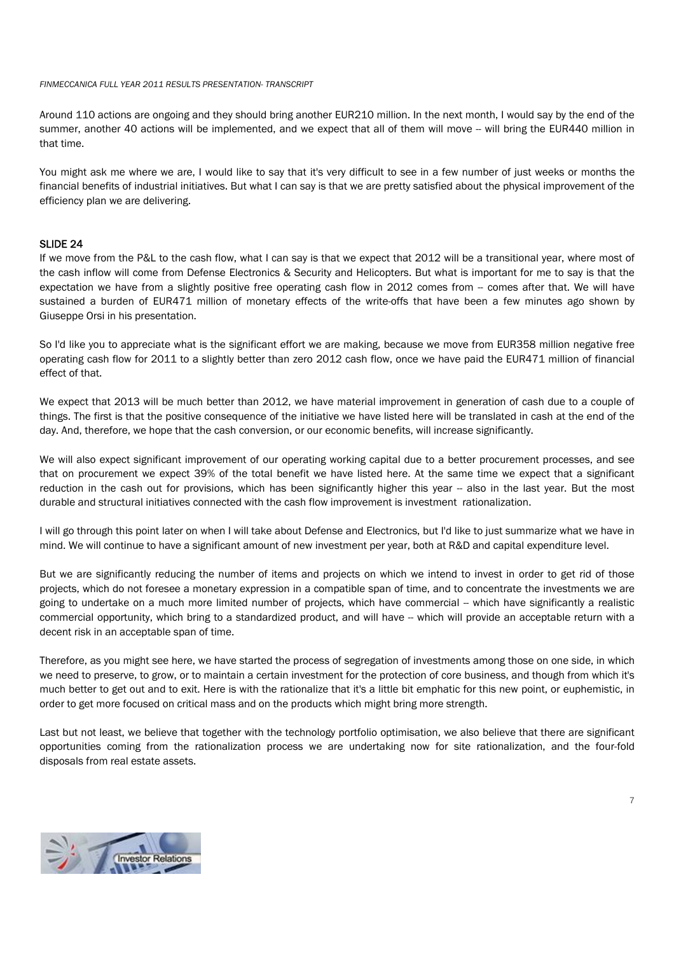Around 110 actions are ongoing and they should bring another EUR210 million. In the next month, I would say by the end of the summer, another 40 actions will be implemented, and we expect that all of them will move -- will bring the EUR440 million in that time.

You might ask me where we are, I would like to say that it's very difficult to see in a few number of just weeks or months the financial benefits of industrial initiatives. But what I can say is that we are pretty satisfied about the physical improvement of the efficiency plan we are delivering.

# SLIDE 24

If we move from the P&L to the cash flow, what I can say is that we expect that 2012 will be a transitional year, where most of the cash inflow will come from Defense Electronics & Security and Helicopters. But what is important for me to say is that the expectation we have from a slightly positive free operating cash flow in 2012 comes from -- comes after that. We will have sustained a burden of EUR471 million of monetary effects of the write-offs that have been a few minutes ago shown by Giuseppe Orsi in his presentation.

So I'd like you to appreciate what is the significant effort we are making, because we move from EUR358 million negative free operating cash flow for 2011 to a slightly better than zero 2012 cash flow, once we have paid the EUR471 million of financial effect of that.

We expect that 2013 will be much better than 2012, we have material improvement in generation of cash due to a couple of things. The first is that the positive consequence of the initiative we have listed here will be translated in cash at the end of the day. And, therefore, we hope that the cash conversion, or our economic benefits, will increase significantly.

We will also expect significant improvement of our operating working capital due to a better procurement processes, and see that on procurement we expect 39% of the total benefit we have listed here. At the same time we expect that a significant reduction in the cash out for provisions, which has been significantly higher this year -- also in the last year. But the most durable and structural initiatives connected with the cash flow improvement is investment rationalization.

I will go through this point later on when I will take about Defense and Electronics, but I'd like to just summarize what we have in mind. We will continue to have a significant amount of new investment per year, both at R&D and capital expenditure level.

But we are significantly reducing the number of items and projects on which we intend to invest in order to get rid of those projects, which do not foresee a monetary expression in a compatible span of time, and to concentrate the investments we are going to undertake on a much more limited number of projects, which have commercial -- which have significantly a realistic commercial opportunity, which bring to a standardized product, and will have -- which will provide an acceptable return with a decent risk in an acceptable span of time.

Therefore, as you might see here, we have started the process of segregation of investments among those on one side, in which we need to preserve, to grow, or to maintain a certain investment for the protection of core business, and though from which it's much better to get out and to exit. Here is with the rationalize that it's a little bit emphatic for this new point, or euphemistic, in order to get more focused on critical mass and on the products which might bring more strength.

Last but not least, we believe that together with the technology portfolio optimisation, we also believe that there are significant opportunities coming from the rationalization process we are undertaking now for site rationalization, and the four-fold disposals from real estate assets.

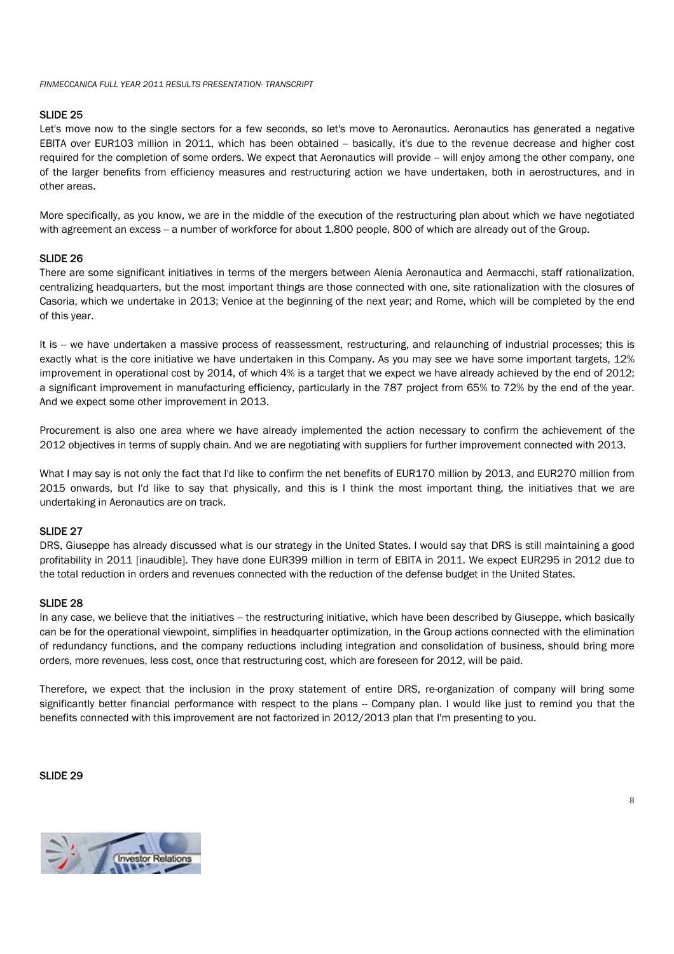# SLIDE 25

Let's move now to the single sectors for a few seconds, so let's move to Aeronautics. Aeronautics has generated a negative EBITA over EUR103 million in 2011, which has been obtained - basically, it's due to the revenue decrease and higher cost required for the completion of some orders. We expect that Aeronautics will provide -- will enjoy among the other company, one of the larger benefits from efficiency measures and restructuring action we have undertaken, both in aerostructures, and in other areas.

More specifically, as you know, we are in the middle of the execution of the restructuring plan about which we have negotiated with agreement an excess -- a number of workforce for about 1,800 people, 800 of which are already out of the Group.

## SLIDE 26

There are some significant initiatives in terms of the mergers between Alenia Aeronautica and Aermacchi, staff rationalization, centralizing headquarters, but the most important things are those connected with one, site rationalization with the closures of Casoria, which we undertake in 2013; Venice at the beginning of the next year; and Rome, which will be completed by the end of this year.

It is -- we have undertaken a massive process of reassessment, restructuring, and relaunching of industrial processes; this is exactly what is the core initiative we have undertaken in this Company. As you may see we have some important targets, 12% improvement in operational cost by 2014, of which 4% is a target that we expect we have already achieved by the end of 2012; a significant improvement in manufacturing efficiency, particularly in the 787 project from 65% to 72% by the end of the year. And we expect some other improvement in 2013.

Procurement is also one area where we have already implemented the action necessary to confirm the achievement of the 2012 objectives in terms of supply chain. And we are negotiating with suppliers for further improvement connected with 2013.

What I may say is not only the fact that I'd like to confirm the net benefits of EUR170 million by 2013, and EUR270 million from 2015 onwards, but I'd like to say that physically, and this is I think the most important thing, the initiatives that we are undertaking in Aeronautics are on track.

# SLIDE 27

DRS, Giuseppe has already discussed what is our strategy in the United States. I would say that DRS is still maintaining a good profitability in 2011 [inaudible]. They have done EUR399 million in term of EBITA in 2011. We expect EUR295 in 2012 due to the total reduction in orders and revenues connected with the reduction of the defense budget in the United States.

## SLIDE 28

In any case, we believe that the initiatives -- the restructuring initiative, which have been described by Giuseppe, which basically can be for the operational viewpoint, simplifies in headquarter optimization, in the Group actions connected with the elimination of redundancy functions, and the company reductions including integration and consolidation of business, should bring more orders, more revenues, less cost, once that restructuring cost, which are foreseen for 2012, will be paid.

Therefore, we expect that the inclusion in the proxy statement of entire DRS, re-organization of company will bring some significantly better financial performance with respect to the plans -- Company plan. I would like just to remind you that the benefits connected with this improvement are not factorized in 2012/2013 plan that I'm presenting to you.

#### SLIDE 29

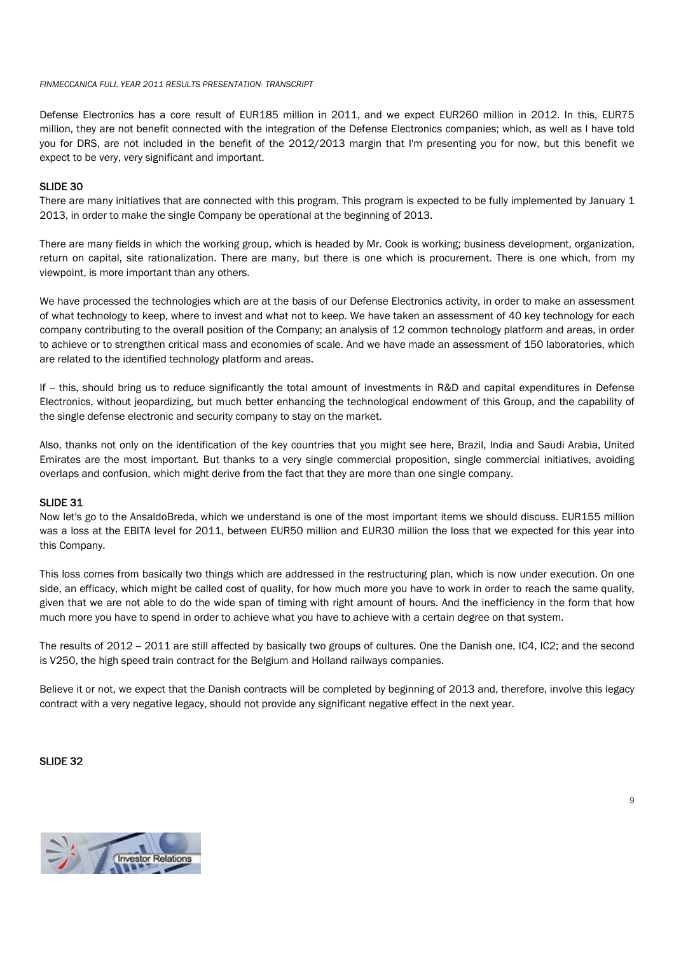Defense Electronics has a core result of EUR185 million in 2011, and we expect EUR260 million in 2012. In this, EUR75 million, they are not benefit connected with the integration of the Defense Electronics companies; which, as well as I have told you for DRS, are not included in the benefit of the 2012/2013 margin that I'm presenting you for now, but this benefit we expect to be very, very significant and important.

#### SLIDE 30

There are many initiatives that are connected with this program. This program is expected to be fully implemented by January 1 2013, in order to make the single Company be operational at the beginning of 2013.

There are many fields in which the working group, which is headed by Mr. Cook is working; business development, organization, return on capital, site rationalization. There are many, but there is one which is procurement. There is one which, from my viewpoint, is more important than any others.

We have processed the technologies which are at the basis of our Defense Electronics activity, in order to make an assessment of what technology to keep, where to invest and what not to keep. We have taken an assessment of 40 key technology for each company contributing to the overall position of the Company; an analysis of 12 common technology platform and areas, in order to achieve or to strengthen critical mass and economies of scale. And we have made an assessment of 150 laboratories, which are related to the identified technology platform and areas.

If -- this, should bring us to reduce significantly the total amount of investments in R&D and capital expenditures in Defense Electronics, without jeopardizing, but much better enhancing the technological endowment of this Group, and the capability of the single defense electronic and security company to stay on the market.

Also, thanks not only on the identification of the key countries that you might see here, Brazil, India and Saudi Arabia, United Emirates are the most important. But thanks to a very single commercial proposition, single commercial initiatives, avoiding overlaps and confusion, which might derive from the fact that they are more than one single company.

#### SLIDE 31

Now let's go to the AnsaldoBreda, which we understand is one of the most important items we should discuss. EUR155 million was a loss at the EBITA level for 2011, between EUR50 million and EUR30 million the loss that we expected for this year into this Company.

This loss comes from basically two things which are addressed in the restructuring plan, which is now under execution. On one side, an efficacy, which might be called cost of quality, for how much more you have to work in order to reach the same quality, given that we are not able to do the wide span of timing with right amount of hours. And the inefficiency in the form that how much more you have to spend in order to achieve what you have to achieve with a certain degree on that system.

The results of 2012 - 2011 are still affected by basically two groups of cultures. One the Danish one, IC4, IC2; and the second is V250, the high speed train contract for the Belgium and Holland railways companies.

Believe it or not, we expect that the Danish contracts will be completed by beginning of 2013 and, therefore, involve this legacy contract with a very negative legacy, should not provide any significant negative effect in the next year.

# SLIDE 32

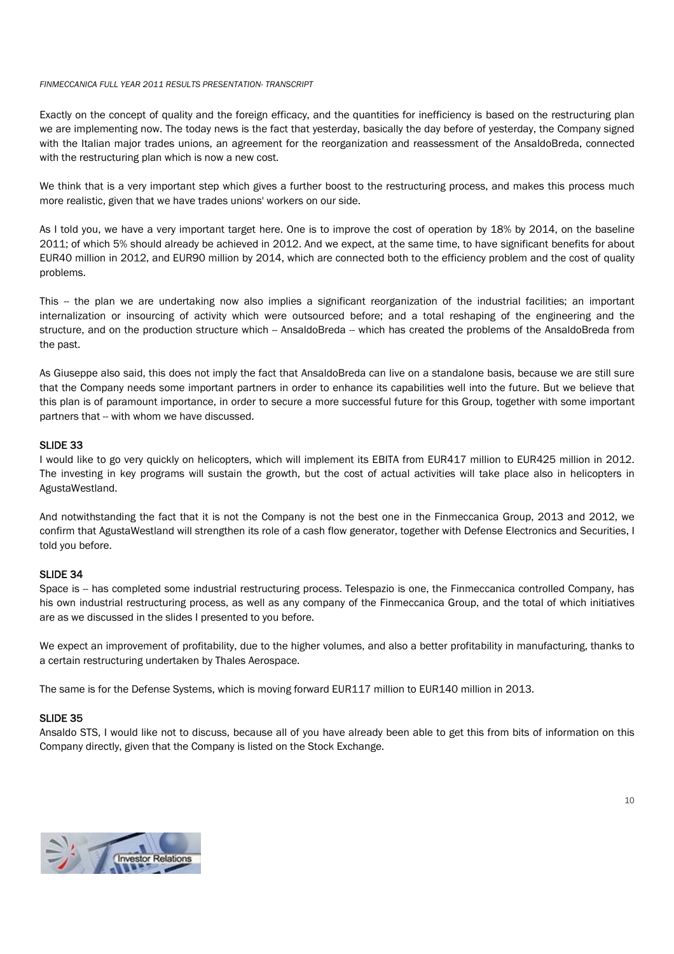Exactly on the concept of quality and the foreign efficacy, and the quantities for inefficiency is based on the restructuring plan we are implementing now. The today news is the fact that yesterday, basically the day before of yesterday, the Company signed with the Italian major trades unions, an agreement for the reorganization and reassessment of the AnsaldoBreda, connected with the restructuring plan which is now a new cost.

We think that is a very important step which gives a further boost to the restructuring process, and makes this process much more realistic, given that we have trades unions' workers on our side.

As I told you, we have a very important target here. One is to improve the cost of operation by 18% by 2014, on the baseline 2011; of which 5% should already be achieved in 2012. And we expect, at the same time, to have significant benefits for about EUR40 million in 2012, and EUR90 million by 2014, which are connected both to the efficiency problem and the cost of quality problems.

This -- the plan we are undertaking now also implies a significant reorganization of the industrial facilities; an important internalization or insourcing of activity which were outsourced before; and a total reshaping of the engineering and the structure, and on the production structure which -- AnsaldoBreda -- which has created the problems of the AnsaldoBreda from the past.

As Giuseppe also said, this does not imply the fact that AnsaldoBreda can live on a standalone basis, because we are still sure that the Company needs some important partners in order to enhance its capabilities well into the future. But we believe that this plan is of paramount importance, in order to secure a more successful future for this Group, together with some important partners that -- with whom we have discussed.

# SLIDE 33

I would like to go very quickly on helicopters, which will implement its EBITA from EUR417 million to EUR425 million in 2012. The investing in key programs will sustain the growth, but the cost of actual activities will take place also in helicopters in AgustaWestland.

And notwithstanding the fact that it is not the Company is not the best one in the Finmeccanica Group, 2013 and 2012, we confirm that AgustaWestland will strengthen its role of a cash flow generator, together with Defense Electronics and Securities, I told you before.

## SLIDE 34

Space is -- has completed some industrial restructuring process. Telespazio is one, the Finmeccanica controlled Company, has his own industrial restructuring process, as well as any company of the Finmeccanica Group, and the total of which initiatives are as we discussed in the slides I presented to you before.

We expect an improvement of profitability, due to the higher volumes, and also a better profitability in manufacturing, thanks to a certain restructuring undertaken by Thales Aerospace.

The same is for the Defense Systems, which is moving forward EUR117 million to EUR140 million in 2013.

## SLIDE 35

Ansaldo STS, I would like not to discuss, because all of you have already been able to get this from bits of information on this Company directly, given that the Company is listed on the Stock Exchange.

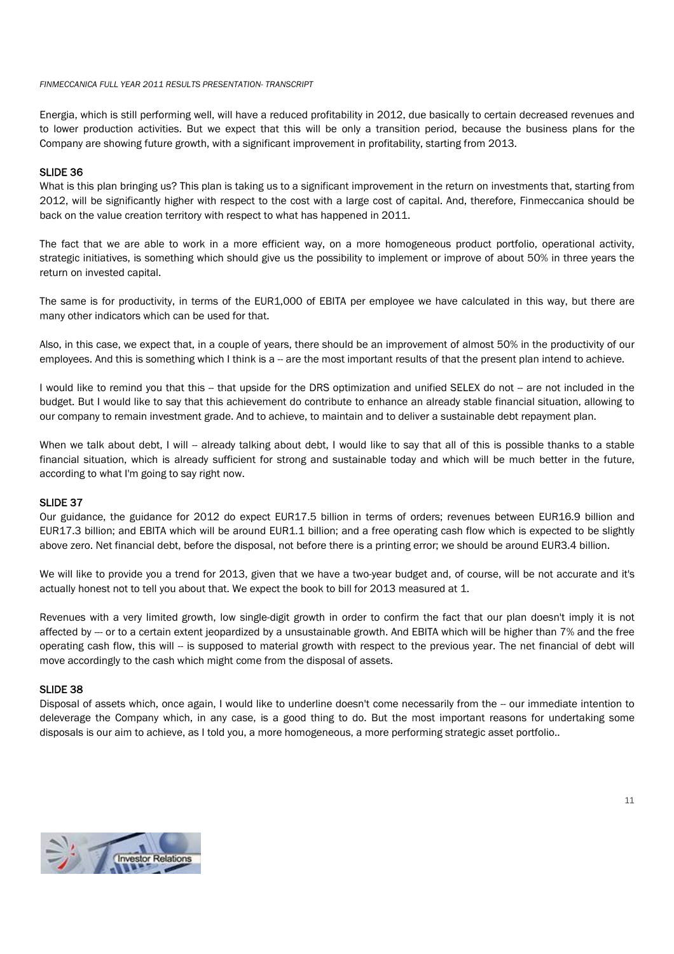Energia, which is still performing well, will have a reduced profitability in 2012, due basically to certain decreased revenues and to lower production activities. But we expect that this will be only a transition period, because the business plans for the Company are showing future growth, with a significant improvement in profitability, starting from 2013.

#### SLIDE 36

What is this plan bringing us? This plan is taking us to a significant improvement in the return on investments that, starting from 2012, will be significantly higher with respect to the cost with a large cost of capital. And, therefore, Finmeccanica should be back on the value creation territory with respect to what has happened in 2011.

The fact that we are able to work in a more efficient way, on a more homogeneous product portfolio, operational activity, strategic initiatives, is something which should give us the possibility to implement or improve of about 50% in three years the return on invested capital.

The same is for productivity, in terms of the EUR1,000 of EBITA per employee we have calculated in this way, but there are many other indicators which can be used for that.

Also, in this case, we expect that, in a couple of years, there should be an improvement of almost 50% in the productivity of our employees. And this is something which I think is a -- are the most important results of that the present plan intend to achieve.

I would like to remind you that this -- that upside for the DRS optimization and unified SELEX do not -- are not included in the budget. But I would like to say that this achievement do contribute to enhance an already stable financial situation, allowing to our company to remain investment grade. And to achieve, to maintain and to deliver a sustainable debt repayment plan.

When we talk about debt, I will -- already talking about debt, I would like to say that all of this is possible thanks to a stable financial situation, which is already sufficient for strong and sustainable today and which will be much better in the future, according to what I'm going to say right now.

## SLIDE 37

Our guidance, the guidance for 2012 do expect EUR17.5 billion in terms of orders; revenues between EUR16.9 billion and EUR17.3 billion; and EBITA which will be around EUR1.1 billion; and a free operating cash flow which is expected to be slightly above zero. Net financial debt, before the disposal, not before there is a printing error; we should be around EUR3.4 billion.

We will like to provide you a trend for 2013, given that we have a two-year budget and, of course, will be not accurate and it's actually honest not to tell you about that. We expect the book to bill for 2013 measured at 1.

Revenues with a very limited growth, low single-digit growth in order to confirm the fact that our plan doesn't imply it is not affected by --- or to a certain extent jeopardized by a unsustainable growth. And EBITA which will be higher than 7% and the free operating cash flow, this will -- is supposed to material growth with respect to the previous year. The net financial of debt will move accordingly to the cash which might come from the disposal of assets.

## SLIDE 38

Disposal of assets which, once again, I would like to underline doesn't come necessarily from the -- our immediate intention to deleverage the Company which, in any case, is a good thing to do. But the most important reasons for undertaking some disposals is our aim to achieve, as I told you, a more homogeneous, a more performing strategic asset portfolio..